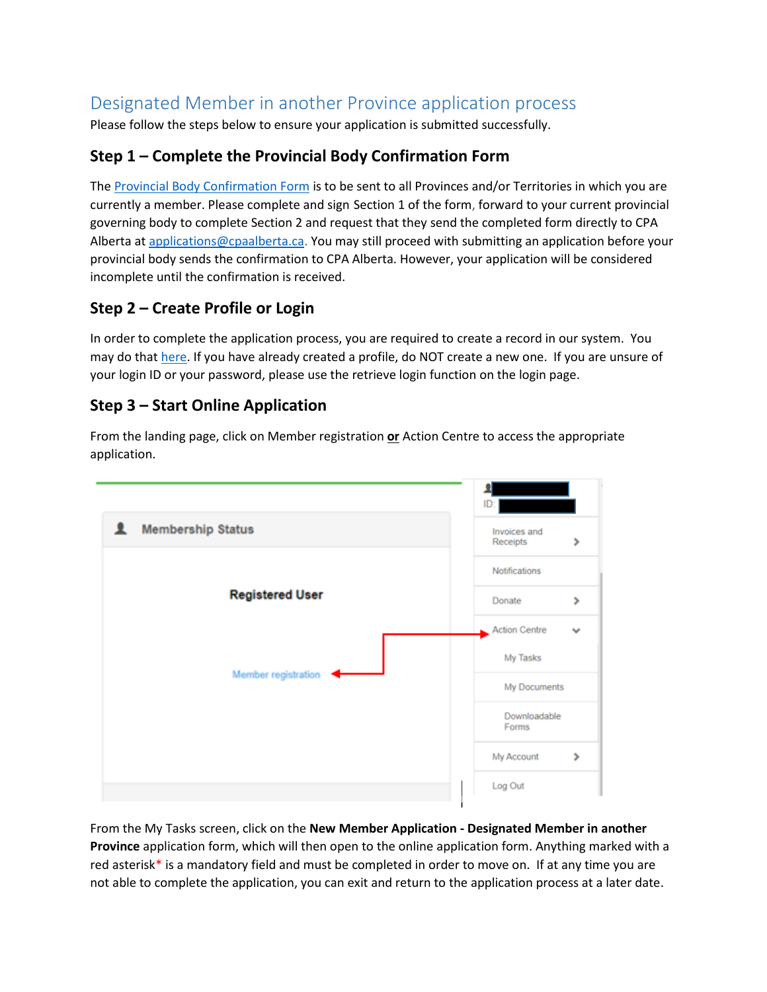# Designated Member in another Province application process

Please follow the steps below to ensure your application is submitted successfully.

# **Step 1 – Complete the Provincial Body Confirmation Form**

The [Provincial Body Confirmation Form](https://www.cpaalberta.ca/-/media/Files/Members/Member-Fees/Moving-Provinces/Verification_PICA_Fillable-2021.pdf?la=en&hash=7F45FB1E4808B249A573F7AD6F452A83D30CC5B5) is to be sent to all Provinces and/or Territories in which you are currently a member. Please complete and sign Section 1 of the form, forward to your current provincial governing body to complete Section 2 and request that they send the completed form directly to CPA Alberta at [applications@cpaalberta.ca.](mailto:applications@cpaalberta.ca) You may still proceed with submitting an application before your provincial body sends the confirmation to CPA Alberta. However, your application will be considered incomplete until the confirmation is received.

# **Step 2 – Create Profile or Login**

In order to complete the application process, you are required to create a record in our system. You may do tha[t here.](https://members.cpaalberta.ca/) If you have already created a profile, do NOT create a new one. If you are unsure of your login ID or your password, please use the retrieve login function on the login page.

# **Step 3 – Start Online Application**

From the landing page, click on Member registration **or** Action Centre to access the appropriate application.



From the My Tasks screen, click on the **New Member Application - Designated Member in another Province** application form, which will then open to the online application form. Anything marked with a red asterisk\* is a mandatory field and must be completed in order to move on. If at any time you are not able to complete the application, you can exit and return to the application process at a later date.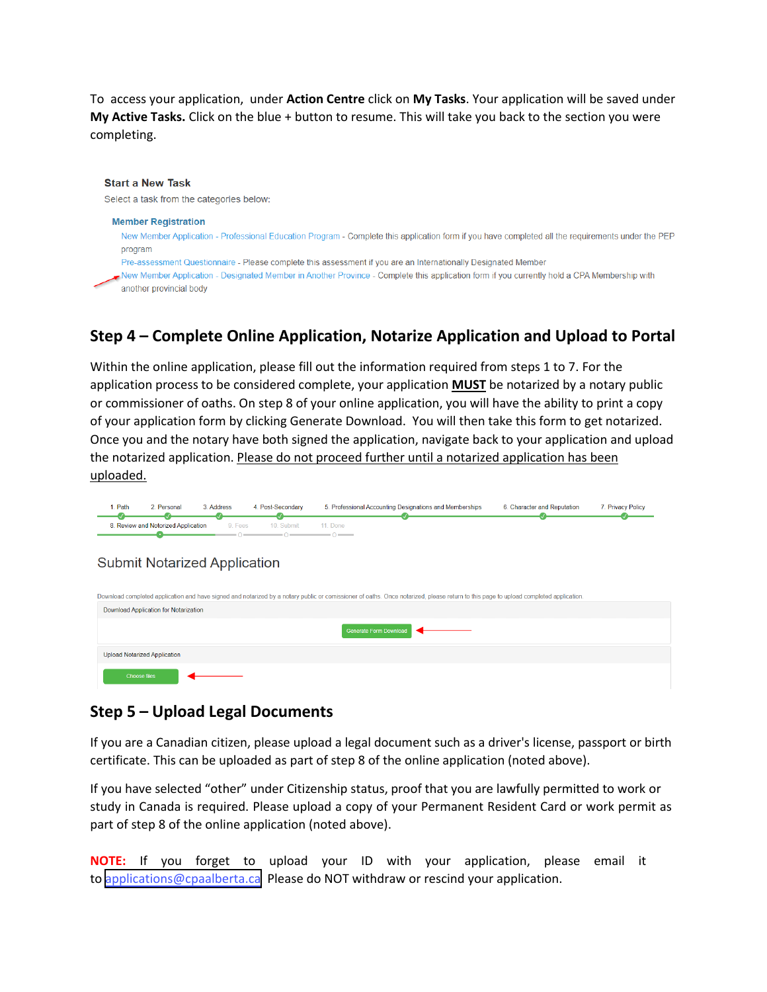To access your application, under **Action Centre** click on **My Tasks**. Your application will be saved under **My Active Tasks.** Click on the blue + button to resume. This will take you back to the section you were completing.

#### **Start a New Task** Select a task from the categories below: **Member Registration** New Member Application - Professional Education Program - Complete this application form if you have completed all the requirements under the PEP program Pre-assessment Questionnaire - Please complete this assessment if you are an Internationally Designated Member New Member Application - Designated Member in Another Province - Complete this application form if you currently hold a CPA Membership with another provincial body

# **Step 4 – Complete Online Application, Notarize Application and Upload to Portal**

Within the online application, please fill out the information required from steps 1 to 7. For the application process to be considered complete, your application **MUST** be notarized by a notary public or commissioner of oaths. On step 8 of your online application, you will have the ability to print a copy of your application form by clicking Generate Download. You will then take this form to get notarized. Once you and the notary have both signed the application, navigate back to your application and upload the notarized application. Please do not proceed further until a notarized application has been uploaded.

| Path | Personal                            | Address | 4. Post-Secondary | 5. Professional Accounting Designations and Memberships | 6. Character and Reputation | <b>Privacy Policy</b> |
|------|-------------------------------------|---------|-------------------|---------------------------------------------------------|-----------------------------|-----------------------|
|      | 8. Review and Notorized Application | 9. Fees | 10 Submit         | Done                                                    |                             |                       |

### **Submit Notarized Application**

| Download completed application and have signed and notarized by a notary public or comissioner of oaths. Once notarized, please return to this page to upload completed application. |
|--------------------------------------------------------------------------------------------------------------------------------------------------------------------------------------|
| Download Application for Notarization                                                                                                                                                |
| <b>Generate Form Download</b>                                                                                                                                                        |
| Upload Notarized Application                                                                                                                                                         |
| <b>Choose files</b>                                                                                                                                                                  |

### **Step 5 – Upload Legal Documents**

If you are a Canadian citizen, please upload a legal document such as a driver's license, passport or birth certificate. This can be uploaded as part of step 8 of the online application (noted above).

If you have selected "other" under Citizenship status, proof that you are lawfully permitted to work or study in Canada is required. Please upload a copy of your Permanent Resident Card or work permit as part of step 8 of the online application (noted above).

**NOTE:** If you forget to upload your ID with your application, please email it to [applications@cpaalberta.ca](mailto:applications@cpaalberta.ca) Please do NOT withdraw or rescind your application.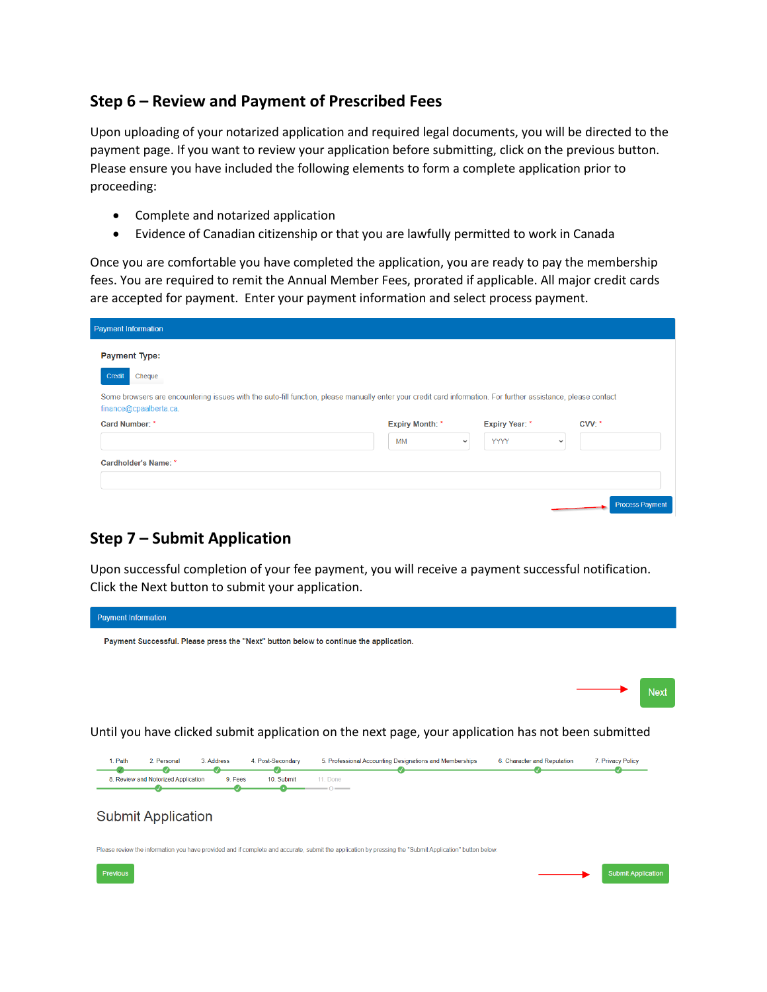## **Step 6 – Review and Payment of Prescribed Fees**

Upon uploading of your notarized application and required legal documents, you will be directed to the payment page. If you want to review your application before submitting, click on the previous button. Please ensure you have included the following elements to form a complete application prior to proceeding:

- Complete and notarized application
- Evidence of Canadian citizenship or that you are lawfully permitted to work in Canada

Once you are comfortable you have completed the application, you are ready to pay the membership fees. You are required to remit the Annual Member Fees, prorated if applicable. All major credit cards are accepted for payment. Enter your payment information and select process payment.

| <b>Payment Information</b>                                                                                                                                                              |                        |             |                       |              |        |
|-----------------------------------------------------------------------------------------------------------------------------------------------------------------------------------------|------------------------|-------------|-----------------------|--------------|--------|
| <b>Payment Type:</b>                                                                                                                                                                    |                        |             |                       |              |        |
| Credit<br>Cheque                                                                                                                                                                        |                        |             |                       |              |        |
| Some browsers are encountering issues with the auto-fill function, please manually enter your credit card information. For further assistance, please contact<br>finance@cpaalberta.ca. |                        |             |                       |              |        |
| Card Number: *                                                                                                                                                                          | <b>Expiry Month: *</b> |             | <b>Expiry Year: *</b> |              | CVV: * |
|                                                                                                                                                                                         | MM                     | $\check{~}$ | <b>YYYY</b>           | $\checkmark$ |        |
|                                                                                                                                                                                         |                        |             |                       |              |        |
| Cardholder's Name: *                                                                                                                                                                    |                        |             |                       |              |        |
|                                                                                                                                                                                         |                        |             |                       |              |        |

# **Step 7 – Submit Application**

Upon successful completion of your fee payment, you will receive a payment successful notification. Click the Next button to submit your application.